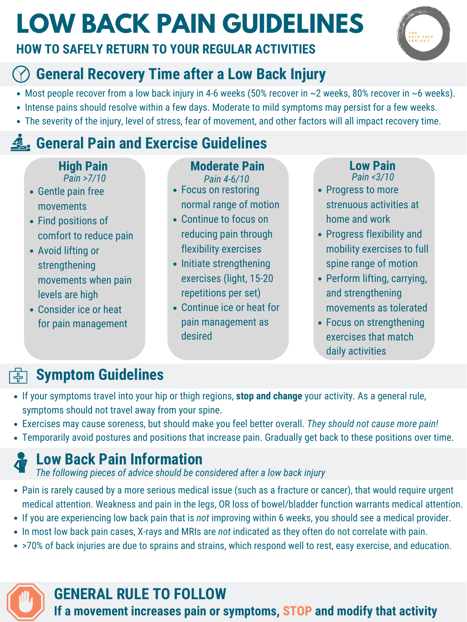# **LOW BACK PAIN GUIDELINES**

#### **HOW TO SAFELY RETURN TO YOUR REGULAR ACTIVITIES**



#### **Symptom Guidelines**  $\overline{\mathbf{d}}$

- If your symptoms travel into your hip or thigh regions, **stop and change** your activity. As a general rule, symptoms should not travel away from your spine.
- Exercises may cause soreness, but should make you feel better overall. *They should not cause more pain!*
- Temporarily avoid postures and positions that increase pain. Gradually get back to these positions over time.



**If a movement increases pain or symptoms, STOP and modify that activity**

#### **GENERAL RULE TO FOLLOW**

- Gentle pain free movements
- Find positions of comfort to reduce pain
- Avoid lifting or strengthening movements when pain levels are high
- Consider ice or heat for pain management

- Pain is rarely caused by a more serious medical issue (such as a fracture or cancer), that would require urgent medical attention. Weakness and pain in the legs, OR loss of bowel/bladder function warrants medical attention.
- If you are experiencing low back pain that is *not* improving within 6 weeks, you should see a medical provider.
- In most low back pain cases, X-rays and MRIs are *not* indicated as they often do not correlate with pain.
- >70% of back injuries are due to sprains and strains, which respond well to rest, easy exercise, and education.

#### **Moderate Pain**

desired

#### *Pain <3/10* **Low Pain**

- Progress to more strenuous activities at home and work
- Progress flexibility and mobility exercises to full spine range of motion
- Perform lifting, carrying, and strengthening movements as tolerated
- Focus on strengthening

- *Pain >7/10 Pain 4-6/10*
- Focus on restoring normal range of motion
- Continue to focus on reducing pain through flexibility exercises
- Initiate strengthening exercises (light, 15-20 repetitions per set)
- Continue ice or heat for pain management as
- Most people recover from a low back injury in 4-6 weeks (50% recover in ~2 weeks, 80% recover in ~6 weeks).
- Intense pains should resolve within a few days. Moderate to mild symptoms may persist for a few weeks.
- The severity of the injury, level of stress, fear of movement, and other factors will all impact recovery time.

### **E. General Pain and Exercise Guidelines**

# **High Pain**<br>*Pain >7/10*

exercises that match daily activities

#### **Low Back Pain Information**

*The following pieces of advice should be considered after a low back injury*

#### **General Recovery Time after a Low Back Injury**